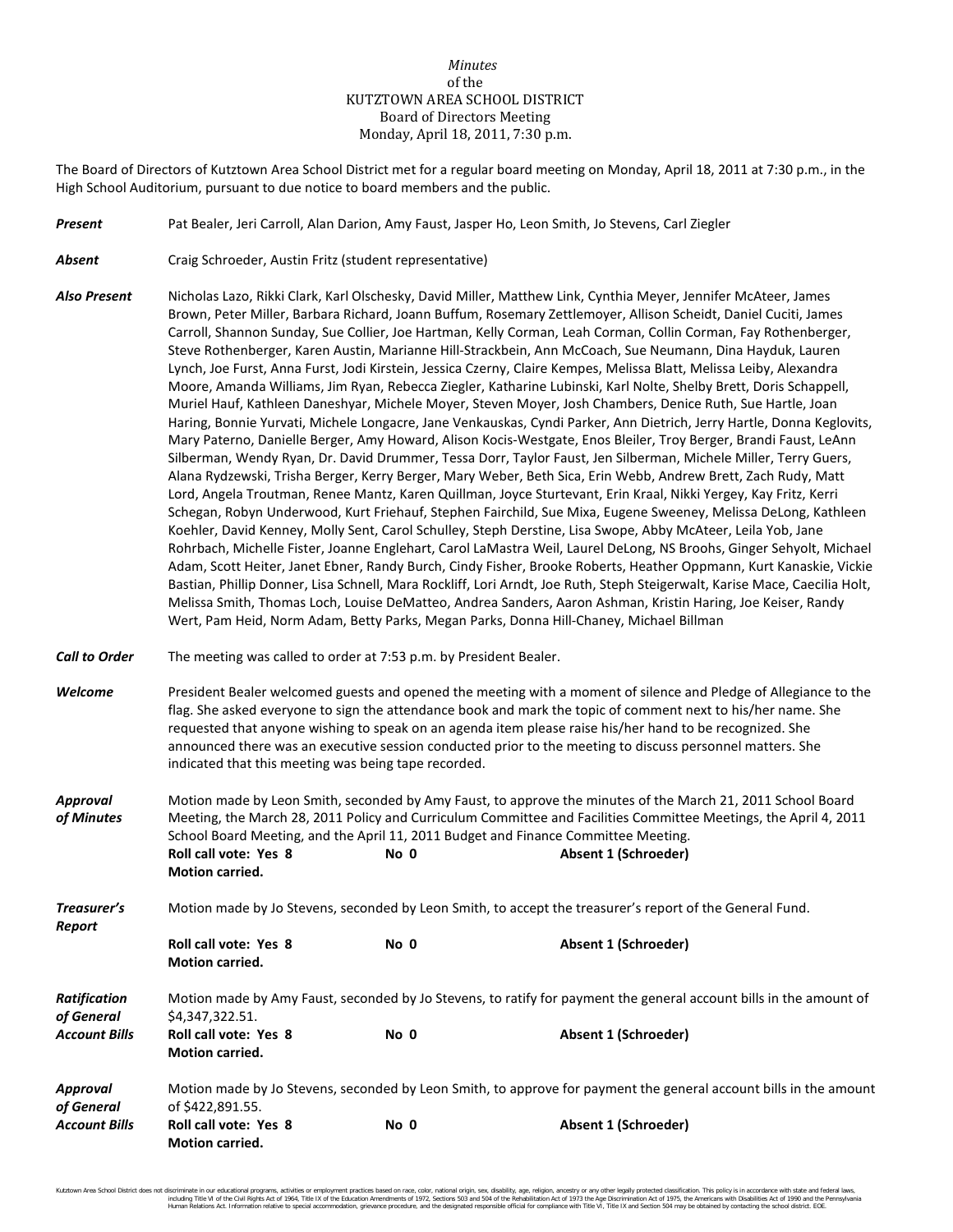## *Minutes* of the KUTZTOWN AREA SCHOOL DISTRICT Board of Directors Meeting Monday, April 18, 2011, 7:30 p.m.

The Board of Directors of Kutztown Area School District met for a regular board meeting on Monday, April 18, 2011 at 7:30 p.m., in the High School Auditorium, pursuant to due notice to board members and the public.

- *Present* Pat Bealer, Jeri Carroll, Alan Darion, Amy Faust, Jasper Ho, Leon Smith, Jo Stevens, Carl Ziegler
- **Absent** Craig Schroeder, Austin Fritz (student representative)
- *Also Present* Nicholas Lazo, Rikki Clark, Karl Olschesky, David Miller, Matthew Link, Cynthia Meyer, Jennifer McAteer, James Brown, Peter Miller, Barbara Richard, Joann Buffum, Rosemary Zettlemoyer, Allison Scheidt, Daniel Cuciti, James Carroll, Shannon Sunday, Sue Collier, Joe Hartman, Kelly Corman, Leah Corman, Collin Corman, Fay Rothenberger, Steve Rothenberger, Karen Austin, Marianne Hill-Strackbein, Ann McCoach, Sue Neumann, Dina Hayduk, Lauren Lynch, Joe Furst, Anna Furst, Jodi Kirstein, Jessica Czerny, Claire Kempes, Melissa Blatt, Melissa Leiby, Alexandra Moore, Amanda Williams, Jim Ryan, Rebecca Ziegler, Katharine Lubinski, Karl Nolte, Shelby Brett, Doris Schappell, Muriel Hauf, Kathleen Daneshyar, Michele Moyer, Steven Moyer, Josh Chambers, Denice Ruth, Sue Hartle, Joan Haring, Bonnie Yurvati, Michele Longacre, Jane Venkauskas, Cyndi Parker, Ann Dietrich, Jerry Hartle, Donna Keglovits, Mary Paterno, Danielle Berger, Amy Howard, Alison Kocis-Westgate, Enos Bleiler, Troy Berger, Brandi Faust, LeAnn Silberman, Wendy Ryan, Dr. David Drummer, Tessa Dorr, Taylor Faust, Jen Silberman, Michele Miller, Terry Guers, Alana Rydzewski, Trisha Berger, Kerry Berger, Mary Weber, Beth Sica, Erin Webb, Andrew Brett, Zach Rudy, Matt Lord, Angela Troutman, Renee Mantz, Karen Quillman, Joyce Sturtevant, Erin Kraal, Nikki Yergey, Kay Fritz, Kerri Schegan, Robyn Underwood, Kurt Friehauf, Stephen Fairchild, Sue Mixa, Eugene Sweeney, Melissa DeLong, Kathleen Koehler, David Kenney, Molly Sent, Carol Schulley, Steph Derstine, Lisa Swope, Abby McAteer, Leila Yob, Jane Rohrbach, Michelle Fister, Joanne Englehart, Carol LaMastra Weil, Laurel DeLong, NS Broohs, Ginger Sehyolt, Michael Adam, Scott Heiter, Janet Ebner, Randy Burch, Cindy Fisher, Brooke Roberts, Heather Oppmann, Kurt Kanaskie, Vickie Bastian, Phillip Donner, Lisa Schnell, Mara Rockliff, Lori Arndt, Joe Ruth, Steph Steigerwalt, Karise Mace, Caecilia Holt, Melissa Smith, Thomas Loch, Louise DeMatteo, Andrea Sanders, Aaron Ashman, Kristin Haring, Joe Keiser, Randy Wert, Pam Heid, Norm Adam, Betty Parks, Megan Parks, Donna Hill-Chaney, Michael Billman
- *Call to Order* The meeting was called to order at 7:53 p.m. by President Bealer.
- *Welcome* President Bealer welcomed guests and opened the meeting with a moment of silence and Pledge of Allegiance to the flag. She asked everyone to sign the attendance book and mark the topic of comment next to his/her name. She requested that anyone wishing to speak on an agenda item please raise his/her hand to be recognized. She announced there was an executive session conducted prior to the meeting to discuss personnel matters. She indicated that this meeting was being tape recorded.
- *Approval* Motion made by Leon Smith, seconded by Amy Faust, to approve the minutes of the March 21, 2011 School Board *of Minutes* Meeting, the March 28, 2011 Policy and Curriculum Committee and Facilities Committee Meetings, the April 4, 2011 School Board Meeting, and the April 11, 2011 Budget and Finance Committee Meeting. **Roll call vote: Yes 8 No 0 Absent 1 (Schroeder) Motion carried.**

*Treasurer's* Motion made by Jo Stevens, seconded by Leon Smith, to accept the treasurer's report of the General Fund. *Report*

|                      | <b>Roll call vote: Yes 8</b><br><b>Motion carried.</b>                                                            | No <sub>0</sub> | Absent 1 (Schroeder)                                                                                               |  |  |
|----------------------|-------------------------------------------------------------------------------------------------------------------|-----------------|--------------------------------------------------------------------------------------------------------------------|--|--|
| Ratification         |                                                                                                                   |                 | Motion made by Amy Faust, seconded by Jo Stevens, to ratify for payment the general account bills in the amount of |  |  |
| of General           | \$4,347,322.51.                                                                                                   |                 |                                                                                                                    |  |  |
| <b>Account Bills</b> | <b>Roll call vote: Yes 8</b>                                                                                      | No 0            | Absent 1 (Schroeder)                                                                                               |  |  |
|                      | <b>Motion carried.</b>                                                                                            |                 |                                                                                                                    |  |  |
| Approval             | Motion made by Jo Stevens, seconded by Leon Smith, to approve for payment the general account bills in the amount |                 |                                                                                                                    |  |  |
| of General           | of \$422,891.55.                                                                                                  |                 |                                                                                                                    |  |  |
| <b>Account Bills</b> | <b>Roll call vote: Yes 8</b><br><b>Motion carried.</b>                                                            | No 0            | <b>Absent 1 (Schroeder)</b>                                                                                        |  |  |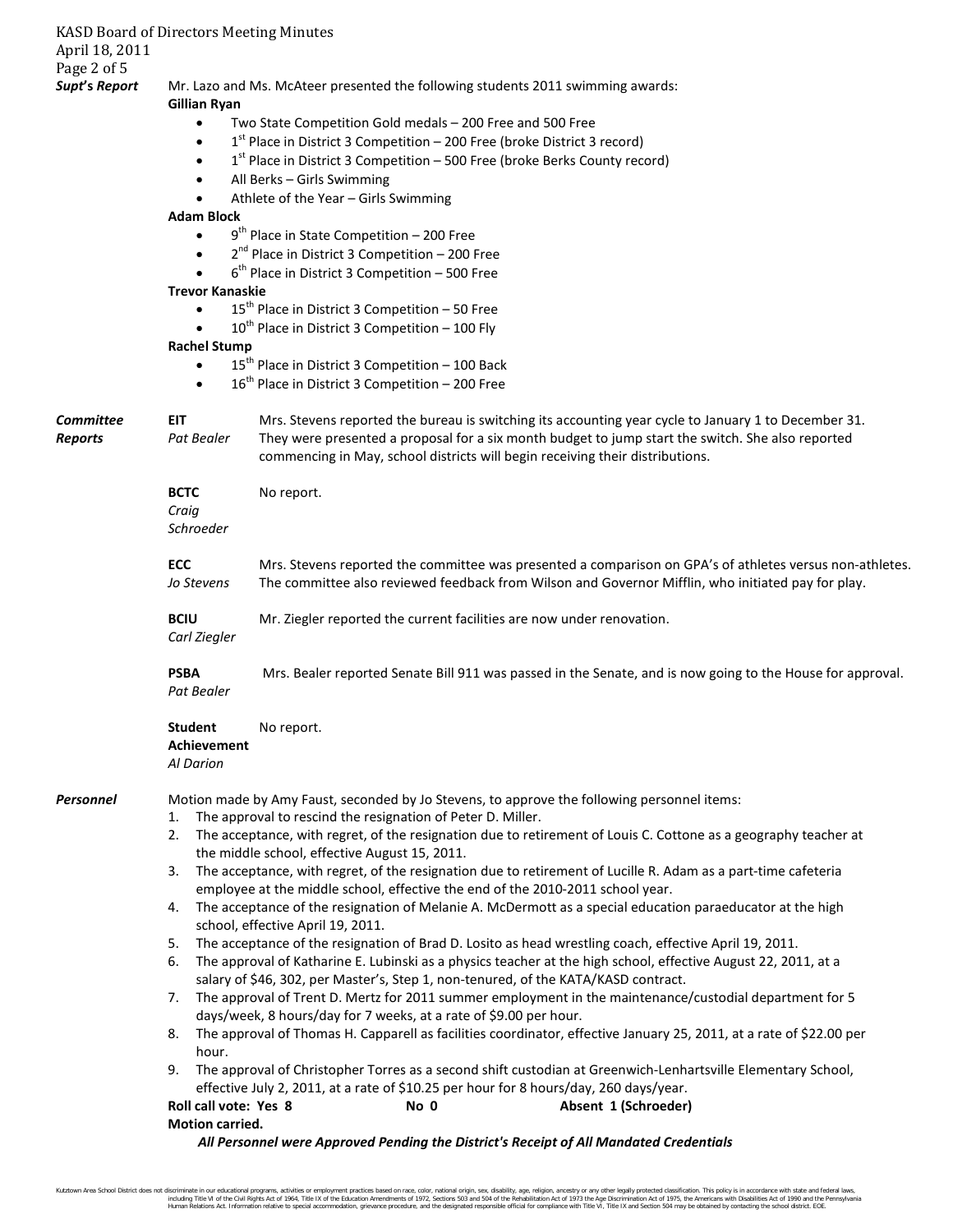| April 18, 2011                     | <b>KASD Board of Directors Meeting Minutes</b>                                                                                                                                                                                                                                                                         |  |  |  |  |
|------------------------------------|------------------------------------------------------------------------------------------------------------------------------------------------------------------------------------------------------------------------------------------------------------------------------------------------------------------------|--|--|--|--|
| Page 2 of 5                        |                                                                                                                                                                                                                                                                                                                        |  |  |  |  |
| Supt's Report                      | Mr. Lazo and Ms. McAteer presented the following students 2011 swimming awards:<br><b>Gillian Ryan</b>                                                                                                                                                                                                                 |  |  |  |  |
|                                    | Two State Competition Gold medals - 200 Free and 500 Free<br>$\bullet$                                                                                                                                                                                                                                                 |  |  |  |  |
|                                    | 1st Place in District 3 Competition - 200 Free (broke District 3 record)                                                                                                                                                                                                                                               |  |  |  |  |
|                                    | $1st$ Place in District 3 Competition – 500 Free (broke Berks County record)<br>$\bullet$                                                                                                                                                                                                                              |  |  |  |  |
|                                    | All Berks - Girls Swimming                                                                                                                                                                                                                                                                                             |  |  |  |  |
|                                    | Athlete of the Year - Girls Swimming                                                                                                                                                                                                                                                                                   |  |  |  |  |
|                                    | <b>Adam Block</b>                                                                                                                                                                                                                                                                                                      |  |  |  |  |
|                                    | $9th$ Place in State Competition - 200 Free<br>$\bullet$                                                                                                                                                                                                                                                               |  |  |  |  |
|                                    | $2^{nd}$ Place in District 3 Competition - 200 Free                                                                                                                                                                                                                                                                    |  |  |  |  |
|                                    | $6th$ Place in District 3 Competition - 500 Free                                                                                                                                                                                                                                                                       |  |  |  |  |
|                                    | <b>Trevor Kanaskie</b>                                                                                                                                                                                                                                                                                                 |  |  |  |  |
|                                    | $15th$ Place in District 3 Competition – 50 Free<br>$10^{th}$ Place in District 3 Competition - 100 Fly                                                                                                                                                                                                                |  |  |  |  |
|                                    | <b>Rachel Stump</b>                                                                                                                                                                                                                                                                                                    |  |  |  |  |
|                                    | 15 <sup>th</sup> Place in District 3 Competition - 100 Back                                                                                                                                                                                                                                                            |  |  |  |  |
|                                    | $16^{\text{th}}$ Place in District 3 Competition - 200 Free                                                                                                                                                                                                                                                            |  |  |  |  |
| <b>Committee</b><br><b>Reports</b> | <b>EIT</b><br>Mrs. Stevens reported the bureau is switching its accounting year cycle to January 1 to December 31.<br>They were presented a proposal for a six month budget to jump start the switch. She also reported<br>Pat Bealer<br>commencing in May, school districts will begin receiving their distributions. |  |  |  |  |
|                                    | <b>BCTC</b><br>No report.<br>Craig<br>Schroeder                                                                                                                                                                                                                                                                        |  |  |  |  |
|                                    | <b>ECC</b><br>Mrs. Stevens reported the committee was presented a comparison on GPA's of athletes versus non-athletes.<br>The committee also reviewed feedback from Wilson and Governor Mifflin, who initiated pay for play.<br>Jo Stevens                                                                             |  |  |  |  |
|                                    | Mr. Ziegler reported the current facilities are now under renovation.<br><b>BCIU</b><br>Carl Ziegler                                                                                                                                                                                                                   |  |  |  |  |
|                                    | <b>PSBA</b><br>Mrs. Bealer reported Senate Bill 911 was passed in the Senate, and is now going to the House for approval.<br>Pat Bealer                                                                                                                                                                                |  |  |  |  |
|                                    | <b>Student</b><br>No report.<br>Achievement<br>Al Darion                                                                                                                                                                                                                                                               |  |  |  |  |
| <b>Personnel</b>                   | Motion made by Amy Faust, seconded by Jo Stevens, to approve the following personnel items:<br>The approval to rescind the resignation of Peter D. Miller.<br>1.                                                                                                                                                       |  |  |  |  |
|                                    | The acceptance, with regret, of the resignation due to retirement of Louis C. Cottone as a geography teacher at<br>2.<br>the middle school, effective August 15, 2011.                                                                                                                                                 |  |  |  |  |
|                                    | The acceptance, with regret, of the resignation due to retirement of Lucille R. Adam as a part-time cafeteria<br>3.<br>employee at the middle school, effective the end of the 2010-2011 school year.                                                                                                                  |  |  |  |  |
|                                    | The acceptance of the resignation of Melanie A. McDermott as a special education paraeducator at the high<br>4.<br>school, effective April 19, 2011.                                                                                                                                                                   |  |  |  |  |
|                                    | The acceptance of the resignation of Brad D. Losito as head wrestling coach, effective April 19, 2011.<br>5.<br>The approval of Katharine E. Lubinski as a physics teacher at the high school, effective August 22, 2011, at a<br>6.                                                                                   |  |  |  |  |
|                                    | salary of \$46, 302, per Master's, Step 1, non-tenured, of the KATA/KASD contract.<br>The approval of Trent D. Mertz for 2011 summer employment in the maintenance/custodial department for 5<br>7.                                                                                                                    |  |  |  |  |
|                                    | days/week, 8 hours/day for 7 weeks, at a rate of \$9.00 per hour.<br>The approval of Thomas H. Capparell as facilities coordinator, effective January 25, 2011, at a rate of \$22.00 per<br>8.                                                                                                                         |  |  |  |  |
|                                    | hour.<br>The approval of Christopher Torres as a second shift custodian at Greenwich-Lenhartsville Elementary School,<br>9.<br>effective July 2, 2011, at a rate of \$10.25 per hour for 8 hours/day, 260 days/year.                                                                                                   |  |  |  |  |
|                                    | Roll call vote: Yes 8<br>Absent 1 (Schroeder)<br>No 0                                                                                                                                                                                                                                                                  |  |  |  |  |
|                                    | Motion carried.                                                                                                                                                                                                                                                                                                        |  |  |  |  |
|                                    | All Personnel were Approved Pending the District's Receipt of All Mandated Credentials                                                                                                                                                                                                                                 |  |  |  |  |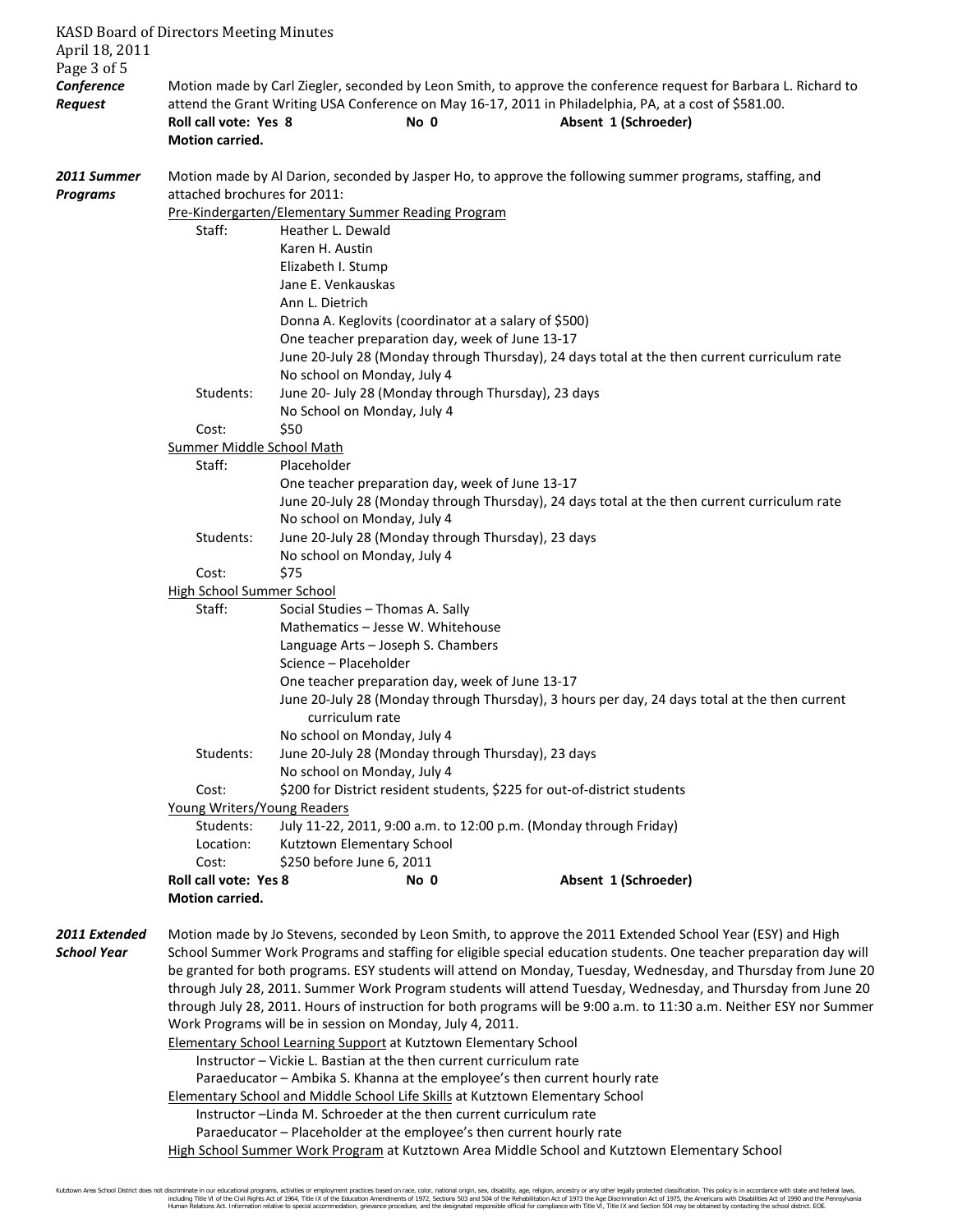| April 18, 2011                              | <b>KASD Board of Directors Meeting Minutes</b>                                                                                                                                                                                                                                                                                                                                                                                                                       |                                                                                    |                                                                                                                                                  |                                                                                                                                                                                                                                                    |  |  |  |
|---------------------------------------------|----------------------------------------------------------------------------------------------------------------------------------------------------------------------------------------------------------------------------------------------------------------------------------------------------------------------------------------------------------------------------------------------------------------------------------------------------------------------|------------------------------------------------------------------------------------|--------------------------------------------------------------------------------------------------------------------------------------------------|----------------------------------------------------------------------------------------------------------------------------------------------------------------------------------------------------------------------------------------------------|--|--|--|
| Page 3 of 5<br>Conference<br><b>Request</b> | Roll call vote: Yes 8                                                                                                                                                                                                                                                                                                                                                                                                                                                |                                                                                    | No 0                                                                                                                                             | Motion made by Carl Ziegler, seconded by Leon Smith, to approve the conference request for Barbara L. Richard to<br>attend the Grant Writing USA Conference on May 16-17, 2011 in Philadelphia, PA, at a cost of \$581.00.<br>Absent 1 (Schroeder) |  |  |  |
|                                             | <b>Motion carried.</b>                                                                                                                                                                                                                                                                                                                                                                                                                                               |                                                                                    |                                                                                                                                                  |                                                                                                                                                                                                                                                    |  |  |  |
| 2011 Summer<br><b>Programs</b>              | Motion made by Al Darion, seconded by Jasper Ho, to approve the following summer programs, staffing, and<br>attached brochures for 2011:<br>Pre-Kindergarten/Elementary Summer Reading Program                                                                                                                                                                                                                                                                       |                                                                                    |                                                                                                                                                  |                                                                                                                                                                                                                                                    |  |  |  |
|                                             | Staff:                                                                                                                                                                                                                                                                                                                                                                                                                                                               | Heather L. Dewald                                                                  |                                                                                                                                                  |                                                                                                                                                                                                                                                    |  |  |  |
|                                             |                                                                                                                                                                                                                                                                                                                                                                                                                                                                      | Karen H. Austin<br>Elizabeth I. Stump<br>Jane E. Venkauskas<br>Ann L. Dietrich     |                                                                                                                                                  |                                                                                                                                                                                                                                                    |  |  |  |
|                                             |                                                                                                                                                                                                                                                                                                                                                                                                                                                                      | No school on Monday, July 4                                                        | Donna A. Keglovits (coordinator at a salary of \$500)<br>One teacher preparation day, week of June 13-17                                         | June 20-July 28 (Monday through Thursday), 24 days total at the then current curriculum rate                                                                                                                                                       |  |  |  |
|                                             | Students:                                                                                                                                                                                                                                                                                                                                                                                                                                                            | June 20- July 28 (Monday through Thursday), 23 days<br>No School on Monday, July 4 |                                                                                                                                                  |                                                                                                                                                                                                                                                    |  |  |  |
|                                             | Cost:                                                                                                                                                                                                                                                                                                                                                                                                                                                                | \$50                                                                               |                                                                                                                                                  |                                                                                                                                                                                                                                                    |  |  |  |
|                                             | <b>Summer Middle School Math</b><br>Staff:                                                                                                                                                                                                                                                                                                                                                                                                                           | Placeholder                                                                        |                                                                                                                                                  |                                                                                                                                                                                                                                                    |  |  |  |
|                                             |                                                                                                                                                                                                                                                                                                                                                                                                                                                                      |                                                                                    | One teacher preparation day, week of June 13-17                                                                                                  | June 20-July 28 (Monday through Thursday), 24 days total at the then current curriculum rate                                                                                                                                                       |  |  |  |
|                                             | Students:                                                                                                                                                                                                                                                                                                                                                                                                                                                            | No school on Monday, July 4                                                        | June 20-July 28 (Monday through Thursday), 23 days                                                                                               |                                                                                                                                                                                                                                                    |  |  |  |
|                                             |                                                                                                                                                                                                                                                                                                                                                                                                                                                                      | No school on Monday, July 4                                                        |                                                                                                                                                  |                                                                                                                                                                                                                                                    |  |  |  |
|                                             | Cost:<br><b>High School Summer School</b>                                                                                                                                                                                                                                                                                                                                                                                                                            | \$75                                                                               |                                                                                                                                                  |                                                                                                                                                                                                                                                    |  |  |  |
|                                             | Staff:                                                                                                                                                                                                                                                                                                                                                                                                                                                               | Social Studies - Thomas A. Sally                                                   |                                                                                                                                                  |                                                                                                                                                                                                                                                    |  |  |  |
|                                             |                                                                                                                                                                                                                                                                                                                                                                                                                                                                      |                                                                                    | Mathematics - Jesse W. Whitehouse                                                                                                                |                                                                                                                                                                                                                                                    |  |  |  |
|                                             |                                                                                                                                                                                                                                                                                                                                                                                                                                                                      | Science - Placeholder                                                              | Language Arts - Joseph S. Chambers                                                                                                               |                                                                                                                                                                                                                                                    |  |  |  |
|                                             |                                                                                                                                                                                                                                                                                                                                                                                                                                                                      | curriculum rate                                                                    | One teacher preparation day, week of June 13-17<br>June 20-July 28 (Monday through Thursday), 3 hours per day, 24 days total at the then current |                                                                                                                                                                                                                                                    |  |  |  |
|                                             | Students:                                                                                                                                                                                                                                                                                                                                                                                                                                                            | No school on Monday, July 4<br>No school on Monday, July 4                         | June 20-July 28 (Monday through Thursday), 23 days                                                                                               |                                                                                                                                                                                                                                                    |  |  |  |
|                                             | Cost:<br>Young Writers/Young Readers                                                                                                                                                                                                                                                                                                                                                                                                                                 |                                                                                    |                                                                                                                                                  | \$200 for District resident students, \$225 for out-of-district students                                                                                                                                                                           |  |  |  |
|                                             | Students:<br>Location:                                                                                                                                                                                                                                                                                                                                                                                                                                               | Kutztown Elementary School                                                         |                                                                                                                                                  | July 11-22, 2011, 9:00 a.m. to 12:00 p.m. (Monday through Friday)                                                                                                                                                                                  |  |  |  |
|                                             | Cost:                                                                                                                                                                                                                                                                                                                                                                                                                                                                | \$250 before June 6, 2011                                                          |                                                                                                                                                  |                                                                                                                                                                                                                                                    |  |  |  |
|                                             | Roll call vote: Yes 8<br>Motion carried.                                                                                                                                                                                                                                                                                                                                                                                                                             |                                                                                    | No 0                                                                                                                                             | Absent 1 (Schroeder)                                                                                                                                                                                                                               |  |  |  |
| 2011 Extended<br>School Year                | Motion made by Jo Stevens, seconded by Leon Smith, to approve the 2011 Extended School Year (ESY) and High<br>School Summer Work Programs and staffing for eligible special education students. One teacher preparation day will<br>be granted for both programs. ESY students will attend on Monday, Tuesday, Wednesday, and Thursday from June 20<br>through July 28, 2011. Summer Work Program students will attend Tuesday, Wednesday, and Thursday from June 20 |                                                                                    |                                                                                                                                                  |                                                                                                                                                                                                                                                    |  |  |  |
|                                             | through July 28, 2011. Hours of instruction for both programs will be 9:00 a.m. to 11:30 a.m. Neither ESY nor Summer<br>Work Programs will be in session on Monday, July 4, 2011.<br><b>Elementary School Learning Support at Kutztown Elementary School</b>                                                                                                                                                                                                         |                                                                                    |                                                                                                                                                  |                                                                                                                                                                                                                                                    |  |  |  |
|                                             | Instructor - Vickie L. Bastian at the then current curriculum rate                                                                                                                                                                                                                                                                                                                                                                                                   |                                                                                    |                                                                                                                                                  |                                                                                                                                                                                                                                                    |  |  |  |
|                                             | Paraeducator - Ambika S. Khanna at the employee's then current hourly rate                                                                                                                                                                                                                                                                                                                                                                                           |                                                                                    |                                                                                                                                                  |                                                                                                                                                                                                                                                    |  |  |  |
|                                             | <b>Elementary School and Middle School Life Skills at Kutztown Elementary School</b>                                                                                                                                                                                                                                                                                                                                                                                 |                                                                                    |                                                                                                                                                  |                                                                                                                                                                                                                                                    |  |  |  |
|                                             | Instructor-Linda M. Schroeder at the then current curriculum rate                                                                                                                                                                                                                                                                                                                                                                                                    |                                                                                    |                                                                                                                                                  |                                                                                                                                                                                                                                                    |  |  |  |
|                                             | Paraeducator - Placeholder at the employee's then current hourly rate                                                                                                                                                                                                                                                                                                                                                                                                |                                                                                    |                                                                                                                                                  |                                                                                                                                                                                                                                                    |  |  |  |
|                                             | High School Summer Work Program at Kutztown Area Middle School and Kutztown Elementary School                                                                                                                                                                                                                                                                                                                                                                        |                                                                                    |                                                                                                                                                  |                                                                                                                                                                                                                                                    |  |  |  |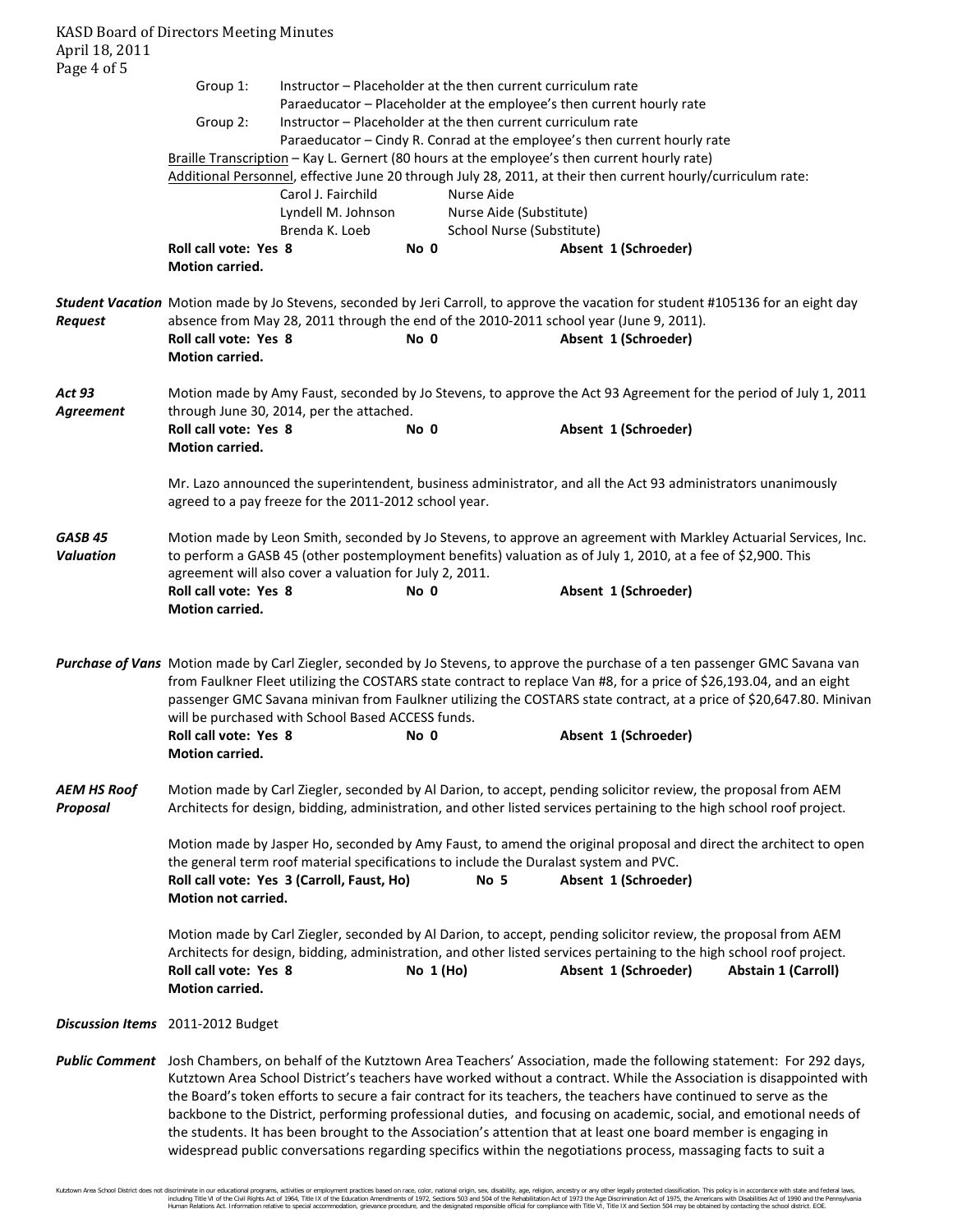| April 18, 2011                         | <b>KASD Board of Directors Meeting Minutes</b>                                                                                                                                                                                                                                                                                                                                                                                                                                                                                                                                                                                                                                                                                        |                                                              |                                                                                                |                           |                                                                                                              |                                                                                                                                                                                                                                                                       |  |  |
|----------------------------------------|---------------------------------------------------------------------------------------------------------------------------------------------------------------------------------------------------------------------------------------------------------------------------------------------------------------------------------------------------------------------------------------------------------------------------------------------------------------------------------------------------------------------------------------------------------------------------------------------------------------------------------------------------------------------------------------------------------------------------------------|--------------------------------------------------------------|------------------------------------------------------------------------------------------------|---------------------------|--------------------------------------------------------------------------------------------------------------|-----------------------------------------------------------------------------------------------------------------------------------------------------------------------------------------------------------------------------------------------------------------------|--|--|
| Page 4 of 5                            |                                                                                                                                                                                                                                                                                                                                                                                                                                                                                                                                                                                                                                                                                                                                       |                                                              |                                                                                                |                           |                                                                                                              |                                                                                                                                                                                                                                                                       |  |  |
|                                        | Group 1:                                                                                                                                                                                                                                                                                                                                                                                                                                                                                                                                                                                                                                                                                                                              | Instructor - Placeholder at the then current curriculum rate |                                                                                                |                           |                                                                                                              |                                                                                                                                                                                                                                                                       |  |  |
|                                        | Paraeducator - Placeholder at the employee's then current hourly rate<br>Group 2:<br>Instructor - Placeholder at the then current curriculum rate                                                                                                                                                                                                                                                                                                                                                                                                                                                                                                                                                                                     |                                                              |                                                                                                |                           |                                                                                                              |                                                                                                                                                                                                                                                                       |  |  |
|                                        |                                                                                                                                                                                                                                                                                                                                                                                                                                                                                                                                                                                                                                                                                                                                       |                                                              |                                                                                                |                           | Paraeducator - Cindy R. Conrad at the employee's then current hourly rate                                    |                                                                                                                                                                                                                                                                       |  |  |
|                                        |                                                                                                                                                                                                                                                                                                                                                                                                                                                                                                                                                                                                                                                                                                                                       |                                                              |                                                                                                |                           | Braille Transcription - Kay L. Gernert (80 hours at the employee's then current hourly rate)                 |                                                                                                                                                                                                                                                                       |  |  |
|                                        |                                                                                                                                                                                                                                                                                                                                                                                                                                                                                                                                                                                                                                                                                                                                       | Carol J. Fairchild                                           |                                                                                                | Nurse Aide                | Additional Personnel, effective June 20 through July 28, 2011, at their then current hourly/curriculum rate: |                                                                                                                                                                                                                                                                       |  |  |
|                                        |                                                                                                                                                                                                                                                                                                                                                                                                                                                                                                                                                                                                                                                                                                                                       | Lyndell M. Johnson                                           |                                                                                                | Nurse Aide (Substitute)   |                                                                                                              |                                                                                                                                                                                                                                                                       |  |  |
|                                        |                                                                                                                                                                                                                                                                                                                                                                                                                                                                                                                                                                                                                                                                                                                                       | Brenda K. Loeb                                               |                                                                                                | School Nurse (Substitute) |                                                                                                              |                                                                                                                                                                                                                                                                       |  |  |
|                                        | <b>Roll call vote: Yes 8</b><br>Motion carried.                                                                                                                                                                                                                                                                                                                                                                                                                                                                                                                                                                                                                                                                                       |                                                              | No 0                                                                                           |                           | Absent 1 (Schroeder)                                                                                         |                                                                                                                                                                                                                                                                       |  |  |
|                                        |                                                                                                                                                                                                                                                                                                                                                                                                                                                                                                                                                                                                                                                                                                                                       |                                                              |                                                                                                |                           |                                                                                                              | Student Vacation Motion made by Jo Stevens, seconded by Jeri Carroll, to approve the vacation for student #105136 for an eight day                                                                                                                                    |  |  |
| Request                                | <b>Roll call vote: Yes 8</b>                                                                                                                                                                                                                                                                                                                                                                                                                                                                                                                                                                                                                                                                                                          |                                                              | absence from May 28, 2011 through the end of the 2010-2011 school year (June 9, 2011).<br>No 0 |                           |                                                                                                              |                                                                                                                                                                                                                                                                       |  |  |
|                                        | Motion carried.                                                                                                                                                                                                                                                                                                                                                                                                                                                                                                                                                                                                                                                                                                                       |                                                              |                                                                                                |                           | Absent 1 (Schroeder)                                                                                         |                                                                                                                                                                                                                                                                       |  |  |
| <b>Act 93</b><br>Agreement             |                                                                                                                                                                                                                                                                                                                                                                                                                                                                                                                                                                                                                                                                                                                                       | through June 30, 2014, per the attached.                     |                                                                                                |                           |                                                                                                              | Motion made by Amy Faust, seconded by Jo Stevens, to approve the Act 93 Agreement for the period of July 1, 2011                                                                                                                                                      |  |  |
|                                        | Roll call vote: Yes 8                                                                                                                                                                                                                                                                                                                                                                                                                                                                                                                                                                                                                                                                                                                 |                                                              | No 0                                                                                           |                           | Absent 1 (Schroeder)                                                                                         |                                                                                                                                                                                                                                                                       |  |  |
|                                        | Motion carried.                                                                                                                                                                                                                                                                                                                                                                                                                                                                                                                                                                                                                                                                                                                       |                                                              |                                                                                                |                           |                                                                                                              |                                                                                                                                                                                                                                                                       |  |  |
|                                        |                                                                                                                                                                                                                                                                                                                                                                                                                                                                                                                                                                                                                                                                                                                                       | agreed to a pay freeze for the 2011-2012 school year.        |                                                                                                |                           |                                                                                                              | Mr. Lazo announced the superintendent, business administrator, and all the Act 93 administrators unanimously                                                                                                                                                          |  |  |
| GASB <sub>45</sub><br><b>Valuation</b> |                                                                                                                                                                                                                                                                                                                                                                                                                                                                                                                                                                                                                                                                                                                                       | agreement will also cover a valuation for July 2, 2011.      |                                                                                                |                           | to perform a GASB 45 (other postemployment benefits) valuation as of July 1, 2010, at a fee of \$2,900. This | Motion made by Leon Smith, seconded by Jo Stevens, to approve an agreement with Markley Actuarial Services, Inc.                                                                                                                                                      |  |  |
|                                        | Roll call vote: Yes 8<br>Motion carried.                                                                                                                                                                                                                                                                                                                                                                                                                                                                                                                                                                                                                                                                                              |                                                              | No 0                                                                                           |                           | Absent 1 (Schroeder)                                                                                         |                                                                                                                                                                                                                                                                       |  |  |
|                                        | Purchase of Vans Motion made by Carl Ziegler, seconded by Jo Stevens, to approve the purchase of a ten passenger GMC Savana van<br>from Faulkner Fleet utilizing the COSTARS state contract to replace Van #8, for a price of \$26,193.04, and an eight<br>passenger GMC Savana minivan from Faulkner utilizing the COSTARS state contract, at a price of \$20,647.80. Minivan<br>will be purchased with School Based ACCESS funds.                                                                                                                                                                                                                                                                                                   |                                                              |                                                                                                |                           |                                                                                                              |                                                                                                                                                                                                                                                                       |  |  |
|                                        | Roll call vote: Yes 8<br><b>Motion carried.</b>                                                                                                                                                                                                                                                                                                                                                                                                                                                                                                                                                                                                                                                                                       |                                                              | No 0                                                                                           |                           | Absent 1 (Schroeder)                                                                                         |                                                                                                                                                                                                                                                                       |  |  |
| <b>AEM HS Roof</b><br>Proposal         | Motion made by Carl Ziegler, seconded by Al Darion, to accept, pending solicitor review, the proposal from AEM<br>Architects for design, bidding, administration, and other listed services pertaining to the high school roof project.                                                                                                                                                                                                                                                                                                                                                                                                                                                                                               |                                                              |                                                                                                |                           |                                                                                                              |                                                                                                                                                                                                                                                                       |  |  |
|                                        | Motion made by Jasper Ho, seconded by Amy Faust, to amend the original proposal and direct the architect to open<br>the general term roof material specifications to include the Duralast system and PVC.<br>Roll call vote: Yes 3 (Carroll, Faust, Ho)<br>Absent 1 (Schroeder)<br>No 5<br>Motion not carried.                                                                                                                                                                                                                                                                                                                                                                                                                        |                                                              |                                                                                                |                           |                                                                                                              |                                                                                                                                                                                                                                                                       |  |  |
|                                        | Roll call vote: Yes 8<br>Motion carried.                                                                                                                                                                                                                                                                                                                                                                                                                                                                                                                                                                                                                                                                                              |                                                              | No $1(Ho)$                                                                                     |                           | Absent 1 (Schroeder)                                                                                         | Motion made by Carl Ziegler, seconded by Al Darion, to accept, pending solicitor review, the proposal from AEM<br>Architects for design, bidding, administration, and other listed services pertaining to the high school roof project.<br><b>Abstain 1 (Carroll)</b> |  |  |
|                                        | Discussion Items 2011-2012 Budget                                                                                                                                                                                                                                                                                                                                                                                                                                                                                                                                                                                                                                                                                                     |                                                              |                                                                                                |                           |                                                                                                              |                                                                                                                                                                                                                                                                       |  |  |
|                                        | Public Comment Josh Chambers, on behalf of the Kutztown Area Teachers' Association, made the following statement: For 292 days,<br>Kutztown Area School District's teachers have worked without a contract. While the Association is disappointed with<br>the Board's token efforts to secure a fair contract for its teachers, the teachers have continued to serve as the<br>backbone to the District, performing professional duties, and focusing on academic, social, and emotional needs of<br>the students. It has been brought to the Association's attention that at least one board member is engaging in<br>widespread public conversations regarding specifics within the negotiations process, massaging facts to suit a |                                                              |                                                                                                |                           |                                                                                                              |                                                                                                                                                                                                                                                                       |  |  |